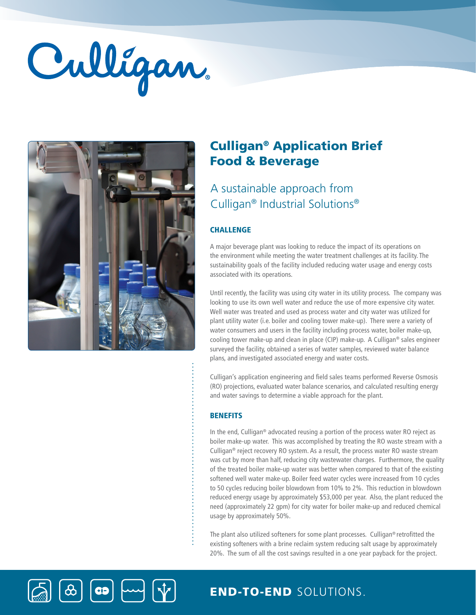# Culligan



 $\left[\bigcirc\right]$ 

 $\bigcirc$ 

# Culligan® Application Brief Food & Beverage

# A sustainable approach from Culligan® Industrial Solutions®

## **CHALLENGE**

A major beverage plant was looking to reduce the impact of its operations on the environment while meeting the water treatment challenges at its facility. The sustainability goals of the facility included reducing water usage and energy costs associated with its operations.

Until recently, the facility was using city water in its utility process. The company was looking to use its own well water and reduce the use of more expensive city water. Well water was treated and used as process water and city water was utilized for plant utility water (i.e. boiler and cooling tower make-up). There were a variety of water consumers and users in the facility including process water, boiler make-up, cooling tower make-up and clean in place (CIP) make-up. A Culligan® sales engineer surveyed the facility, obtained a series of water samples, reviewed water balance plans, and investigated associated energy and water costs.

Culligan's application engineering and field sales teams performed Reverse Osmosis (RO) projections, evaluated water balance scenarios, and calculated resulting energy and water savings to determine a viable approach for the plant.

### **BENEFITS**

In the end, Culligan® advocated reusing a portion of the process water RO reject as boiler make-up water. This was accomplished by treating the RO waste stream with a Culligan® reject recovery RO system. As a result, the process water RO waste stream was cut by more than half, reducing city wastewater charges. Furthermore, the quality of the treated boiler make-up water was better when compared to that of the existing softened well water make-up. Boiler feed water cycles were increased from 10 cycles to 50 cycles reducing boiler blowdown from 10% to 2%. This reduction in blowdown reduced energy usage by approximately \$53,000 per year. Also, the plant reduced the need (approximately 22 gpm) for city water for boiler make-up and reduced chemical usage by approximately 50%.

The plant also utilized softeners for some plant processes. Culligan® retrofitted the existing softeners with a brine reclaim system reducing salt usage by approximately 20%. The sum of all the cost savings resulted in a one year payback for the project.